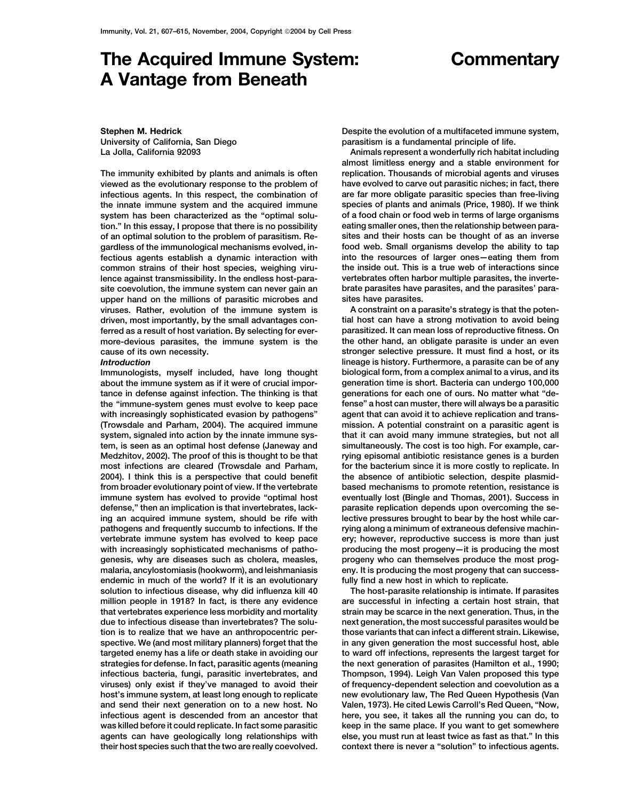# **The Acquired Immune System: Commentary A Vantage from Beneath**

**Stephen M. Hedrick University of California, San Diego La Jolla, California 92093**

**viewed as the evolutionary response to the problem of have evolved to carve out parasitic niches; in fact, there infectious agents. In this respect, the combination of are far more obligate parasitic species than free-living the innate immune system and the acquired immune species of plants and animals (Price, 1980). If we think system has been characterized as the "optimal solu- of a food chain or food web in terms of large organisms tion." In this essay, I propose that there is no possibility eating smaller ones, then the relationship between paraof an optimal solution to the problem of parasitism. Re- sites and their hosts can be thought of as an inverse gardless of the immunological mechanisms evolved, in- food web. Small organisms develop the ability to tap fectious agents establish a dynamic interaction with into the resources of larger ones—eating them from common strains of their host species, weighing viru- the inside out. This is a true web of interactions since** lence against transmissibility. In the endless host-para**site coevolution, the immune system can never gain an brate parasites have parasites, and the parasites' paraupper hand on the millions of parasitic microbes and sites have parasites. viruses. Rather, evolution of the immune system is A constraint on a parasite's strategy is that the potendriven, most importantly, by the small advantages con- tial host can have a strong motivation to avoid being ferred as a result of host variation. By selecting for ever- parasitized. It can mean loss of reproductive fitness. On more-devious parasites, the immune system is the the other hand, an obligate parasite is under an even cause of its own necessity. stronger selective pressure. It must find a host, or its**

**about the immune system as if it were of crucial impor- generation time is short. Bacteria can undergo 100,000 tance in defense against infection. The thinking is that generations for each one of ours. No matter what "dethe "immune-system genes must evolve to keep pace fense" a host can muster, there will always be a parasitic with increasingly sophisticated evasion by pathogens" agent that can avoid it to achieve replication and trans- (Trowsdale and Parham, 2004). The acquired immune mission. A potential constraint on a parasitic agent is system, signaled into action by the innate immune sys- that it can avoid many immune strategies, but not all tem, is seen as an optimal host defense (Janeway and simultaneously. The cost is too high. For example, car-Medzhitov, 2002). The proof of this is thought to be that rying episomal antibiotic resistance genes is a burden most infections are cleared (Trowsdale and Parham, for the bacterium since it is more costly to replicate. In 2004). I think this is a perspective that could benefit the absence of antibiotic selection, despite plasmidfrom broader evolutionary point of view. If the vertebrate based mechanisms to promote retention, resistance is immune system has evolved to provide "optimal host eventually lost (Bingle and Thomas, 2001). Success in defense," then an implication is that invertebrates, lack- parasite replication depends upon overcoming the seing an acquired immune system, should be rife with lective pressures brought to bear by the host while carpathogens and frequently succumb to infections. If the rying along a minimum of extraneous defensive machinvertebrate immune system has evolved to keep pace ery; however, reproductive success is more than just with increasingly sophisticated mechanisms of patho- producing the most progeny—it is producing the most genesis, why are diseases such as cholera, measles, progeny who can themselves produce the most progmalaria, ancylostomiasis (hookworm), and leishmaniasis eny. It is producing the most progeny that can successendemic in much of the world? If it is an evolutionary fully find a new host in which to replicate. solution to infectious disease, why did influenza kill 40 The host-parasite relationship is intimate. If parasites million people in 1918? In fact, is there any evidence are successful in infecting a certain host strain, that that vertebrates experience less morbidity and mortality strain may be scarce in the next generation. Thus, in the due to infectious disease than invertebrates? The solu- next generation, the most successful parasites would be tion is to realize that we have an anthropocentric per- those variants that can infect a different strain. Likewise, spective. We (and most military planners) forget that the in any given generation the most successful host, able targeted enemy has a life or death stake in avoiding our to ward off infections, represents the largest target for strategies for defense. In fact, parasitic agents (meaning the next generation of parasites (Hamilton et al., 1990; infectious bacteria, fungi, parasitic invertebrates, and Thompson, 1994). Leigh Van Valen proposed this type viruses) only exist if they've managed to avoid their of frequency-dependent selection and coevolution as a host's immune system, at least long enough to replicate new evolutionary law, The Red Queen Hypothesis (Van and send their next generation on to a new host. No Valen, 1973). He cited Lewis Carroll's Red Queen, "Now, infectious agent is descended from an ancestor that here, you see, it takes all the running you can do, to was killed before it could replicate. In fact some parasitic keep in the same place. If you want to get somewhere agents can have geologically long relationships with else, you must run at least twice as fast as that." In this**

**Despite the evolution of a multifaceted immune system, parasitism is a fundamental principle of life.**

**Animals represent a wonderfully rich habitat including almost limitless energy and a stable environment for The immunity exhibited by plants and animals is often replication. Thousands of microbial agents and viruses**

*Introduction* **lineage is history. Furthermore, a parasite can be of any Immunologists, myself included, have long thought biological form, from a complex animal to a virus, and its**

**their host species such that the two are really coevolved. context there is never a "solution" to infectious agents.**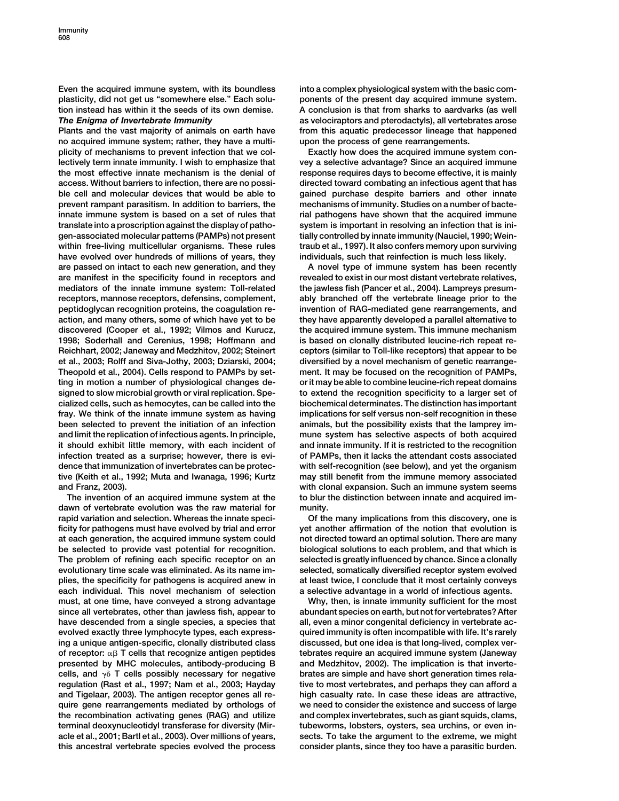**Even the acquired immune system, with its boundless into a complex physiological system with the basic complasticity, did not get us "somewhere else." Each solu- ponents of the present day acquired immune system. tion instead has within it the seeds of its own demise. A conclusion is that from sharks to aardvarks (as well**

Plants and the vast majority of animals on earth have from this aquatic predecessor lineage that happened **no acquired immune system; rather, they have a multi- upon the process of gene rearrangements. plicity of mechanisms to prevent infection that we col- Exactly how does the acquired immune system conlectively term innate immunity. I wish to emphasize that vey a selective advantage? Since an acquired immune the most effective innate mechanism is the denial of response requires days to become effective, it is mainly access. Without barriers to infection, there are no possi- directed toward combating an infectious agent that has ble cell and molecular devices that would be able to gained purchase despite barriers and other innate prevent rampant parasitism. In addition to barriers, the mechanisms of immunity. Studies on a number of bacte**innate immune system is based on a set of rules that rial pathogens have shown that the acquired immune **translate into a proscription against the display of patho- system is important in resolving an infection that is inigen-associated molecular patterns (PAMPs) not present tially controlled by innate immunity (Nauciel, 1990; Weinwithin free-living multicellular organisms. These rules traub et al., 1997). It also confers memory upon surviving have evolved over hundreds of millions of years, they individuals, such that reinfection is much less likely. are passed on intact to each new generation, and they A novel type of immune system has been recently are manifest in the specificity found in receptors and revealed to exist in our most distant vertebrate relatives, mediators of the innate immune system: Toll-related the jawless fish (Pancer et al., 2004). Lampreys presumreceptors, mannose receptors, defensins, complement, ably branched off the vertebrate lineage prior to the peptidoglycan recognition proteins, the coagulation re- invention of RAG-mediated gene rearrangements, and action, and many others, some of which have yet to be they have apparently developed a parallel alternative to discovered (Cooper et al., 1992; Vilmos and Kurucz, the acquired immune system. This immune mechanism 1998; Soderhall and Cerenius, 1998; Hoffmann and is based on clonally distributed leucine-rich repeat re-Reichhart, 2002; Janeway and Medzhitov, 2002; Steinert ceptors (similar to Toll-like receptors) that appear to be** et al., 2003; Rolff and Siva-Jothy, 2003; Dziarski, 2004; diversified by a novel mechanism of genetic rearrange-**Theopold et al., 2004). Cells respond to PAMPs by set- ment. It may be focused on the recognition of PAMPs, ting in motion a number of physiological changes de- or it may be able to combine leucine-rich repeat domains signed to slow microbial growth or viral replication. Spe- to extend the recognition specificity to a larger set of cialized cells, such as hemocytes, can be called into the biochemical determinates. The distinction has important fray. We think of the innate immune system as having implications for self versus non-self recognition in these been selected to prevent the initiation of an infection animals, but the possibility exists that the lamprey imand limit the replication of infectious agents. In principle, mune system has selective aspects of both acquired it should exhibit little memory, with each incident of and innate immunity. If it is restricted to the recognition infection treated as a surprise; however, there is evi- of PAMPs, then it lacks the attendant costs associated dence that immunization of invertebrates can be protec- with self-recognition (see below), and yet the organism tive (Keith et al., 1992; Muta and Iwanaga, 1996; Kurtz may still benefit from the immune memory associated**

**dawn of vertebrate evolution was the raw material for munity. rapid variation and selection. Whereas the innate speci- Of the many implications from this discovery, one is ficity for pathogens must have evolved by trial and error yet another affirmation of the notion that evolution is at each generation, the acquired immune system could not directed toward an optimal solution. There are many be selected to provide vast potential for recognition. biological solutions to each problem, and that which is The problem of refining each specific receptor on an selected is greatly influenced by chance. Since a clonally evolutionary time scale was eliminated. As its name im- selected, somatically diversified receptor system evolved plies, the specificity for pathogens is acquired anew in at least twice, I conclude that it most certainly conveys each individual. This novel mechanism of selection a selective advantage in a world of infectious agents. must, at one time, have conveyed a strong advantage Why, then, is innate immunity sufficient for the most since all vertebrates, other than jawless fish, appear to abundant species on earth, but not for vertebrates? After have descended from a single species, a species that all, even a minor congenital deficiency in vertebrate acevolved exactly three lymphocyte types, each express- quired immunity is often incompatible with life. It's rarely ing a unique antigen-specific, clonally distributed class discussed, but one idea is that long-lived, complex ver**of receptor:  $\alpha\beta$  T cells that recognize antigen peptides **presented by MHC molecules, antibody-producing B and Medzhitov, 2002). The implication is that invertecells, and T cells possibly necessary for negative brates are simple and have short generation times relaregulation (Rast et al., 1997; Nam et al., 2003; Hayday tive to most vertebrates, and perhaps they can afford a and Tigelaar, 2003). The antigen receptor genes all re- high casualty rate. In case these ideas are attractive, quire gene rearrangements mediated by orthologs of we need to consider the existence and success of large the recombination activating genes (RAG) and utilize and complex invertebrates, such as giant squids, clams, terminal deoxynucleotidyl transferase for diversity (Mir- tubeworms, lobsters, oysters, sea urchins, or even inacle et al., 2001; Bartl et al., 2003). Over millions of years, sects. To take the argument to the extreme, we might this ancestral vertebrate species evolved the process consider plants, since they too have a parasitic burden.**

*The Enigma of Invertebrate Immunity* **as velociraptors and pterodactyls), all vertebrates arose**

**and Franz, 2003). with clonal expansion. Such an immune system seems The invention of an acquired immune system at the to blur the distinction between innate and acquired im-**

tebrates require an acquired immune system (Janeway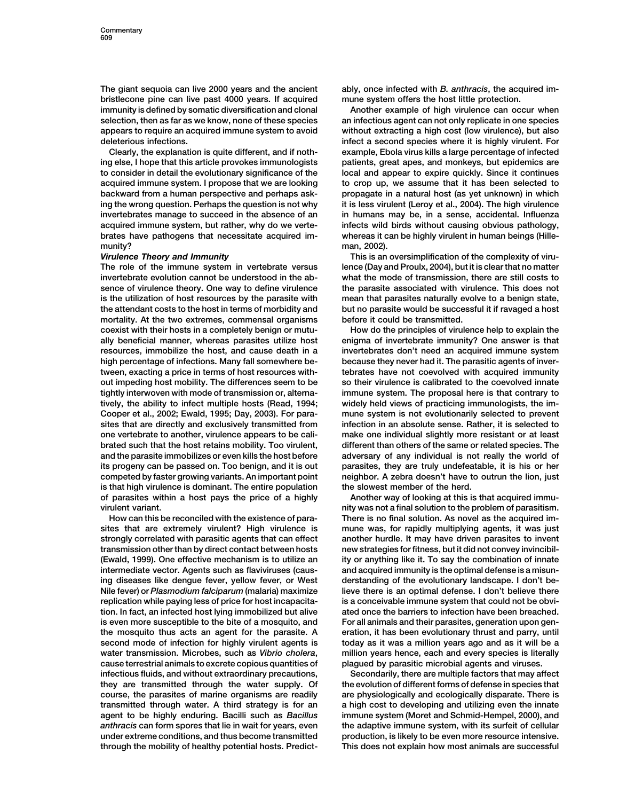**bristlecone pine can live past 4000 years. If acquired mune system offers the host little protection. immunity is defined by somatic diversification and clonal Another example of high virulence can occur when**

**ing else, I hope that this article provokes immunologists patients, great apes, and monkeys, but epidemics are acquired immune system, but rather, why do we verte- infects wild birds without causing obvious pathology, brates have pathogens that necessitate acquired im- whereas it can be highly virulent in human beings (Hillemunity? man, 2002).**

**The role of the immune system in vertebrate versus lence (Day and Proulx, 2004), but it is clear that no matter invertebrate evolution cannot be understood in the ab- what the mode of transmission, there are still costs to sence of virulence theory. One way to define virulence the parasite associated with virulence. This does not is the utilization of host resources by the parasite with mean that parasites naturally evolve to a benign state, the attendant costs to the host in terms of morbidity and but no parasite would be successful it if ravaged a host mortality. At the two extremes, commensal organisms before it could be transmitted. coexist with their hosts in a completely benign or mutu- How do the principles of virulence help to explain the ally beneficial manner, whereas parasites utilize host enigma of invertebrate immunity? One answer is that resources, immobilize the host, and cause death in a invertebrates don't need an acquired immune system high percentage of infections. Many fall somewhere be- because they never had it. The parasitic agents of invertween, exacting a price in terms of host resources with- tebrates have not coevolved with acquired immunity out impeding host mobility. The differences seem to be so their virulence is calibrated to the coevolved innate tightly interwoven with mode of transmission or, alterna- immune system. The proposal here is that contrary to tively, the ability to infect multiple hosts (Read, 1994; widely held views of practicing immunologists, the im-Cooper et al., 2002; Ewald, 1995; Day, 2003). For para- mune system is not evolutionarily selected to prevent sites that are directly and exclusively transmitted from infection in an absolute sense. Rather, it is selected to one vertebrate to another, virulence appears to be cali- make one individual slightly more resistant or at least brated such that the host retains mobility. Too virulent, different than others of the same or related species. The and the parasite immobilizes or even kills the host before adversary of any individual is not really the world of its progeny can be passed on. Too benign, and it is out parasites, they are truly undefeatable, it is his or her competed by faster growing variants. An important point neighbor. A zebra doesn't have to outrun the lion, just is that high virulence is dominant. The entire population the slowest member of the herd. of parasites within a host pays the price of a highly Another way of looking at this is that acquired immuvirulent variant. nity was not a final solution to the problem of parasitism.**

**sites that are extremely virulent? High virulence is mune was, for rapidly multiplying agents, it was just strongly correlated with parasitic agents that can effect another hurdle. It may have driven parasites to invent transmission other than by direct contact between hosts new strategies for fitness, but it did not convey invincibil- (Ewald, 1999). One effective mechanism is to utilize an ity or anything like it. To say the combination of innate intermediate vector. Agents such as flaviviruses (caus- and acquired immunity is the optimal defense is a misuning diseases like dengue fever, yellow fever, or West derstanding of the evolutionary landscape. I don't be-Nile fever) or** *Plasmodium falciparum* **(malaria) maximize lieve there is an optimal defense. I don't believe there replication while paying less of price for host incapacita- is a conceivable immune system that could not be obvition. In fact, an infected host lying immobilized but alive ated once the barriers to infection have been breached. is even more susceptible to the bite of a mosquito, and For all animals and their parasites, generation upon genthe mosquito thus acts an agent for the parasite. A eration, it has been evolutionary thrust and parry, until second mode of infection for highly virulent agents is today as it was a million years ago and as it will be a water transmission. Microbes, such as** *Vibrio cholera***, million years hence, each and every species is literally cause terrestrial animals to excrete copious quantities of plagued by parasitic microbial agents and viruses. infectious fluids, and without extraordinary precautions, Secondarily, there are multiple factors that may affect they are transmitted through the water supply. Of the evolution of different forms of defense in species that course, the parasites of marine organisms are readily are physiologically and ecologically disparate. There is transmitted through water. A third strategy is for an a high cost to developing and utilizing even the innate agent to be highly enduring. Bacilli such as** *Bacillus* **immune system (Moret and Schmid-Hempel, 2000), and** *anthracis* **can form spores that lie in wait for years, even the adaptive immune system, with its surfeit of cellular under extreme conditions, and thus become transmitted production, is likely to be even more resource intensive. through the mobility of healthy potential hosts. Predict- This does not explain how most animals are successful**

**The giant sequoia can live 2000 years and the ancient ably, once infected with** *B. anthracis***, the acquired im-**

**selection, then as far as we know, none of these species an infectious agent can not only replicate in one species appears to require an acquired immune system to avoid without extracting a high cost (low virulence), but also deleterious infections. infect a second species where it is highly virulent. For Clearly, the explanation is quite different, and if noth- example, Ebola virus kills a large percentage of infected to consider in detail the evolutionary significance of the local and appear to expire quickly. Since it continues acquired immune system. I propose that we are looking to crop up, we assume that it has been selected to backward from a human perspective and perhaps ask- propagate in a natural host (as yet unknown) in which ing the wrong question. Perhaps the question is not why it is less virulent (Leroy et al., 2004). The high virulence invertebrates manage to succeed in the absence of an in humans may be, in a sense, accidental. Influenza**

*Virulence Theory and Immunity* **This is an oversimplification of the complexity of viru-**

**How can this be reconciled with the existence of para- There is no final solution. As novel as the acquired im-**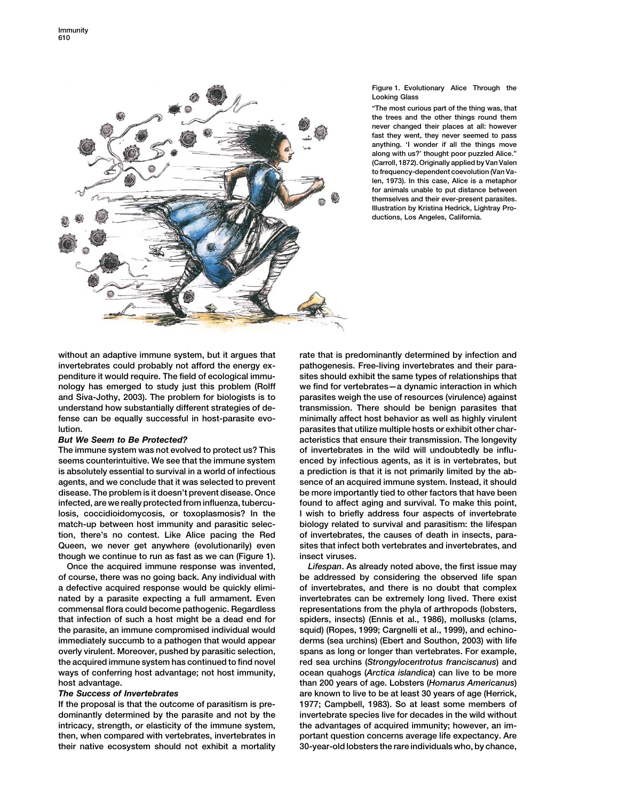

**Figure 1. Evolutionary Alice Through the Looking Glass**

**"The most curious part of the thing was, that the trees and the other things round them never changed their places at all: however fast they went, they never seemed to pass anything. 'I wonder if all the things move along with us?' thought poor puzzled Alice." (Carroll, 1872). Originally applied by Van Valen to frequency-dependent coevolution (Van Valen, 1973). In this case, Alice is a metaphor for animals unable to put distance between themselves and their ever-present parasites. Illustration by Kristina Hedrick, Lightray Productions, Los Angeles, California.**

without an adaptive immune system, but it argues that rate that is predominantly determined by infection and **invertebrates could probably not afford the energy ex- pathogenesis. Free-living invertebrates and their parapenditure it would require. The field of ecological immu- sites should exhibit the same types of relationships that nology has emerged to study just this problem (Rolff we find for vertebrates—a dynamic interaction in which and Siva-Jothy, 2003). The problem for biologists is to parasites weigh the use of resources (virulence) against understand how substantially different strategies of de- transmission. There should be benign parasites that fense can be equally successful in host-parasite evo- minimally affect host behavior as well as highly virulent lution. parasites that utilize multiple hosts or exhibit other char-**

**seems counterintuitive. We see that the immune system enced by infectious agents, as it is in vertebrates, but is absolutely essential to survival in a world of infectious a prediction is that it is not primarily limited by the abagents, and we conclude that it was selected to prevent sence of an acquired immune system. Instead, it should disease. The problem is it doesn't prevent disease. Once be more importantly tied to other factors that have been infected, are we really protected from influenza, tubercu- found to affect aging and survival. To make this point, losis, coccidioidomycosis, or toxoplasmosis? In the I wish to briefly address four aspects of invertebrate match-up between host immunity and parasitic selec- biology related to survival and parasitism: the lifespan tion, there's no contest. Like Alice pacing the Red of invertebrates, the causes of death in insects, para-Queen, we never get anywhere (evolutionarily) even sites that infect both vertebrates and invertebrates, and though we continue to run as fast as we can (Figure 1). insect viruses.**

**of course, there was no going back. Any individual with be addressed by considering the observed life span a defective acquired response would be quickly elimi- of invertebrates, and there is no doubt that complex nated by a parasite expecting a full armament. Even invertebrates can be extremely long lived. There exist commensal flora could become pathogenic. Regardless representations from the phyla of arthropods (lobsters, that infection of such a host might be a dead end for spiders, insects) (Ennis et al., 1986), mollusks (clams, the parasite, an immune compromised individual would squid) (Ropes, 1999; Cargnelli et al., 1999), and echinoimmediately succumb to a pathogen that would appear derms (sea urchins) (Ebert and Southon, 2003) with life overly virulent. Moreover, pushed by parasitic selection, spans as long or longer than vertebrates. For example, the acquired immune system has continued to find novel red sea urchins (***Strongylocentrotus franciscanus***) and ways of conferring host advantage; not host immunity, ocean quahogs (***Arctica islandica***) can live to be more host advantage. than 200 years of age. Lobsters (***Homarus Americanus***)**

**their native ecosystem should not exhibit a mortality 30-year-old lobsters the rare individuals who, by chance,**

*But We Seem to Be Protected?* **acteristics that ensure their transmission. The longevity The immune system was not evolved to protect us? This of invertebrates in the wild will undoubtedly be influ-**

**Once the acquired immune response was invented,** *Lifespan***. As already noted above, the first issue may** *The Success of Invertebrates* **are known to live to be at least 30 years of age (Herrick, If the proposal is that the outcome of parasitism is pre- 1977; Campbell, 1983). So at least some members of dominantly determined by the parasite and not by the invertebrate species live for decades in the wild without intricacy, strength, or elasticity of the immune system, the advantages of acquired immunity; however, an imthen, when compared with vertebrates, invertebrates in portant question concerns average life expectancy. Are**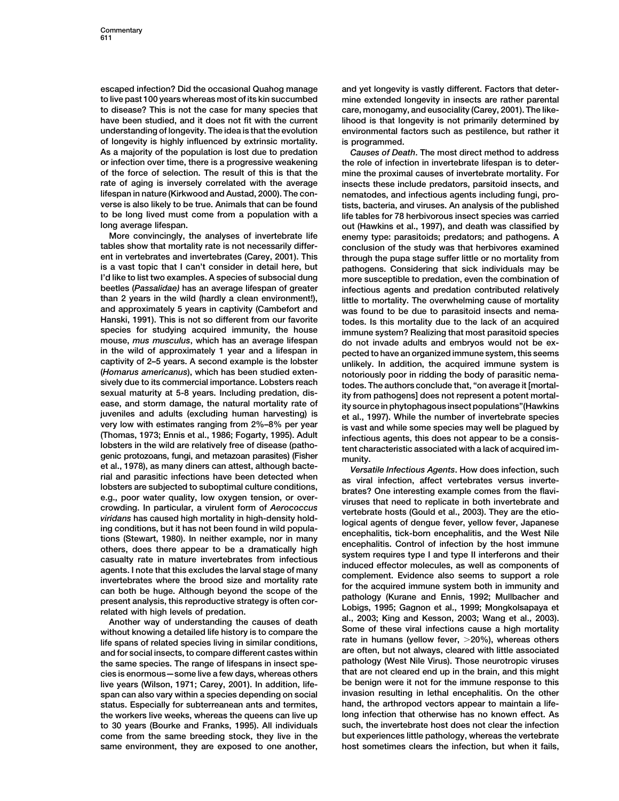**to live past 100 years whereas most of its kin succumbed mine extended longevity in insects are rather parental to disease? This is not the case for many species that care, monogamy, and eusociality (Carey, 2001). The likehave been studied, and it does not fit with the current lihood is that longevity is not primarily determined by understanding of longevity. The idea is that the evolution environmental factors such as pestilence, but rather it of longevity is highly influenced by extrinsic mortality. is programmed. As a majority of the population is lost due to predation** *Causes of Death***. The most direct method to address or infection over time, there is a progressive weakening the role of infection in invertebrate lifespan is to deterof the force of selection. The result of this is that the mine the proximal causes of invertebrate mortality. For rate of aging is inversely correlated with the average insects these include predators, parsitoid insects, and lifespan in nature (Kirkwood and Austad, 2000). The con- nematodes, and infectious agents including fungi, proverse is also likely to be true. Animals that can be found tists, bacteria, and viruses. An analysis of the published**

**tables show that mortality rate is not necessarily differ- conclusion of the study was that herbivores examined ent in vertebrates and invertebrates (Carey, 2001). This through the pupa stage suffer little or no mortality from is a vast topic that I can't consider in detail here, but pathogens. Considering that sick individuals may be I'd like to list two examples. A species of subsocial dung more susceptible to predation, even the combination of beetles (***Passalidae)* **has an average lifespan of greater infectious agents and predation contributed relatively than 2 years in the wild (hardly a clean environment!), little to mortality. The overwhelming cause of mortality and approximately 5 years in captivity (Cambefort and was found to be due to parasitoid insects and nema-Hanski, 1991). This is not so different from our favorite todes. Is this mortality due to the lack of an acquired species for studying acquired immunity, the house immune system? Realizing that most parasitoid species** mouse, *mus musculus*, which has an average lifespan do not invade adults and embryos would not be ex-<br>in the wild of approximately 1 year and a lifespan in pected to have an organized immune system, this seems **in the wild of approximately 1 year and a lifespan in pected to have an organized immune system, this seems** captivity of 2-5 years. A second example is the lobister<br>
inilikity. In addition, the acquired immune system is<br>
difformation amoricanous), which has been studied exter-<br>
involviously poor in ridding the body of parastitic

Another way of understanding the causes of death<br>without knowing a detailed life history is to compare the<br>life spans of related species living in similar conditions<br>ate in humans (yellow fever, >20%), whereas others life spans of related species living in similar conditions,<br>and for social insects, to compare different castes within are often, but not always, cleared with little associated **pathology (West Nile Virus). Those neurotropic viruses the same species. The range of lifespans in insect species is enormous—some live a few days, whereas others that are not cleared end up in the brain, and this might live years (Wilson, 1971; Carey, 2001). In addition, life- be benign were it not for the immune response to this** span can also vary within a species depending on social **status. Especially for subterreanean ants and termites, hand, the arthropod vectors appear to maintain a lifethe workers live weeks, whereas the queens can live up long infection that otherwise has no known effect. As to 30 years (Bourke and Franks, 1995). All individuals such, the invertebrate host does not clear the infection come from the same breeding stock, they live in the but experiences little pathology, whereas the vertebrate**

**escaped infection? Did the occasional Quahog manage and yet longevity is vastly different. Factors that deter-**

life tables for 78 herbivorous insect species was carried **long average lifespan. out (Hawkins et al., 1997), and death was classified by More convincingly, the analyses of invertebrate life enemy type: parasitoids; predators; and pathogens. A**

same environment, they are exposed to one another, host sometimes clears the infection, but when it fails,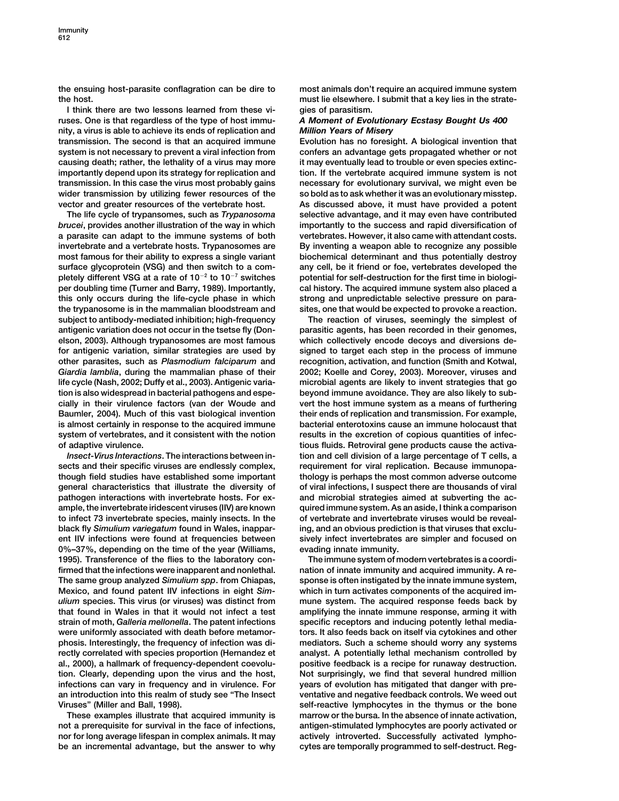**the host. must lie elsewhere. I submit that a key lies in the strate-**

**I think there are two lessons learned from these vi- gies of parasitism. ruses. One is that regardless of the type of host immu-** *A Moment of Evolutionary Ecstasy Bought Us 400* **nity, a virus is able to achieve its ends of replication and** *Million Years of Misery* **transmission. The second is that an acquired immune Evolution has no foresight. A biological invention that system is not necessary to prevent a viral infection from confers an advantage gets propagated whether or not causing death; rather, the lethality of a virus may more it may eventually lead to trouble or even species extincimportantly depend upon its strategy for replication and tion. If the vertebrate acquired immune system is not transmission. In this case the virus most probably gains necessary for evolutionary survival, we might even be wider transmission by utilizing fewer resources of the so bold as to ask whether it was an evolutionary misstep. vector and greater resources of the vertebrate host. As discussed above, it must have provided a potent**

*brucei***, provides another illustration of the way in which importantly to the success and rapid diversification of a parasite can adapt to the immune systems of both vertebrates. However, it also came with attendant costs. invertebrate and a vertebrate hosts. Trypanosomes are By inventing a weapon able to recognize any possible most famous for their ability to express a single variant biochemical determinant and thus potentially destroy surface glycoprotein (VSG) and then switch to a com- any cell, be it friend or foe, vertebrates developed the pletely different VSG at a rate of 10<sup>2</sup> to 10<sup>7</sup> switches potential for self-destruction for the first time in biologiper doubling time (Turner and Barry, 1989). Importantly, cal history. The acquired immune system also placed a this only occurs during the life-cycle phase in which strong and unpredictable selective pressure on parathe trypanosome is in the mammalian bloodstream and sites, one that would be expected to provoke a reaction. subject to antibody-mediated inhibition; high-frequency The reaction of viruses, seemingly the simplest of antigenic variation does not occur in the tsetse fly (Don- parasitic agents, has been recorded in their genomes, elson, 2003). Although trypanosomes are most famous which collectively encode decoys and diversions defor antigenic variation, similar strategies are used by signed to target each step in the process of immune other parasites, such as** *Plasmodium falciparum* **and recognition, activation, and function (Smith and Kotwal,** *Giardia lamblia***, during the mammalian phase of their 2002; Koelle and Corey, 2003). Moreover, viruses and life cycle (Nash, 2002; Duffy et al., 2003). Antigenic varia- microbial agents are likely to invent strategies that go tion is also widespread in bacterial pathogens and espe- beyond immune avoidance. They are also likely to subcially in their virulence factors (van der Woude and vert the host immune system as a means of furthering Baumler, 2004). Much of this vast biological invention their ends of replication and transmission. For example, is almost certainly in response to the acquired immune bacterial enterotoxins cause an immune holocaust that system of vertebrates, and it consistent with the notion results in the excretion of copious quantities of infec**of adaptive virulence. **the activa- of adaptive virulence.** The set of adaptive virulence.

sects and their specific viruses are endlessly complex, requirement for viral replication. Because immunopa**though field studies have established some important thology is perhaps the most common adverse outcome general characteristics that illustrate the diversity of of viral infections, I suspect there are thousands of viral pathogen interactions with invertebrate hosts. For ex- and microbial strategies aimed at subverting the acample, the invertebrate iridescent viruses (IIV) are known quired immune system. As an aside, I think a comparison to infect 73 invertebrate species, mainly insects. In the of vertebrate and invertebrate viruses would be revealblack fly** *Simulium variegatum* **found in Wales, inappar- ing, and an obvious prediction is that viruses that excluent IIV infections were found at frequencies between sively infect invertebrates are simpler and focused on 0%–37%, depending on the time of the year (Williams, evading innate immunity. 1995). Transference of the flies to the laboratory con- The immune system of modern vertebrates is a coordifirmed that the infections were inapparent and nonlethal. nation of innate immunity and acquired immunity. A re-The same group analyzed** *Simulium spp***. from Chiapas, sponse is often instigated by the innate immune system, Mexico, and found patent IIV infections in eight** *Sim-* **which in turn activates components of the acquired im***ulium* **species. This virus (or viruses) was distinct from mune system. The acquired response feeds back by that found in Wales in that it would not infect a test amplifying the innate immune response, arming it with strain of moth,** *Galleria mellonella***. The patent infections specific receptors and inducing potently lethal mediawere uniformly associated with death before metamor- tors. It also feeds back on itself via cytokines and other phosis. Interestingly, the frequency of infection was di- mediators. Such a scheme should worry any systems rectly correlated with species proportion (Hernandez et analyst. A potentially lethal mechanism controlled by al., 2000), a hallmark of frequency-dependent coevolu- positive feedback is a recipe for runaway destruction. tion. Clearly, depending upon the virus and the host, Not surprisingly, we find that several hundred million infections can vary in frequency and in virulence. For years of evolution has mitigated that danger with prean introduction into this realm of study see "The Insect ventative and negative feedback controls. We weed out Viruses" (Miller and Ball, 1998). self-reactive lymphocytes in the thymus or the bone**

**not a prerequisite for survival in the face of infections, antigen-stimulated lymphocytes are poorly activated or nor for long average lifespan in complex animals. It may actively introverted. Successfully activated lymphobe an incremental advantage, but the answer to why cytes are temporally programmed to self-destruct. Reg-**

**the ensuing host-parasite conflagration can be dire to most animals don't require an acquired immune system**

**The life cycle of trypansomes, such as** *Trypanosoma* **selective advantage, and it may even have contributed**

*Insect-Virus Interactions***. The interactions between in- tion and cell division of a large percentage of T cells, a**

**These examples illustrate that acquired immunity is marrow or the bursa. In the absence of innate activation,**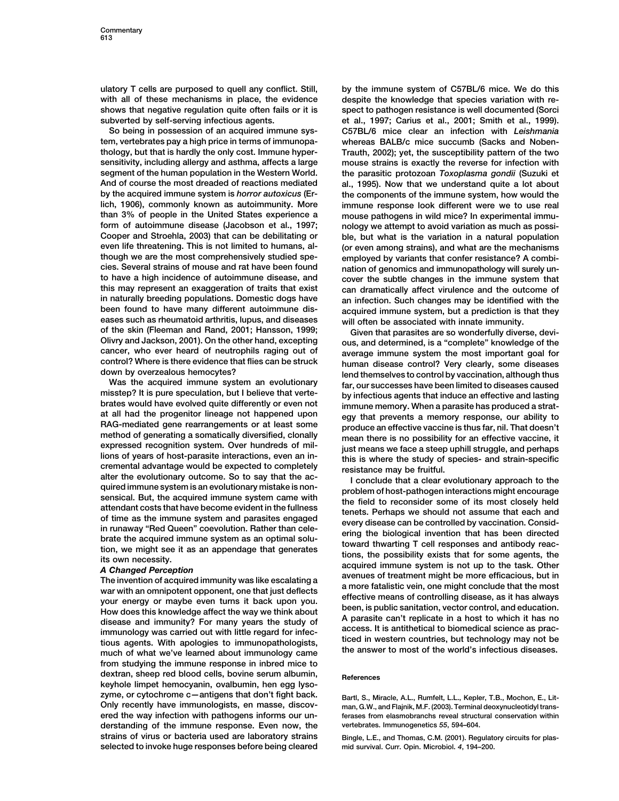**ulatory T cells are purposed to quell any conflict. Still, by the immune system of C57BL/6 mice. We do this with all of these mechanisms in place, the evidence despite the knowledge that species variation with reshows that negative regulation quite often fails or it is spect to pathogen resistance is well documented (Sorci subverted by self-serving infectious agents. et al., 1997; Carius et al., 2001; Smith et al., 1999).**

**tem, vertebrates pay a high price in terms of immunopa- whereas BALB/c mice succumb (Sacks and Nobenthology, but that is hardly the only cost. Immune hyper- Trauth, 2002); yet, the susceptibility pattern of the two sensitivity, including allergy and asthma, affects a large mouse strains is exactly the reverse for infection with segment of the human population in the Western World. the parasitic protozoan** *Toxoplasma gondii* **(Suzuki et And of course the most dreaded of reactions mediated al., 1995). Now that we understand quite a lot about by the acquired immune system is** *horror autoxicus* **(Er- the components of the immune system, how would the lich, 1906), commonly known as autoimmunity. More immune response look different were we to use real than 3% of people in the United States experience a mouse pathogens in wild mice? In experimental immuform of autoimmune disease (Jacobson et al., 1997; nology we attempt to avoid variation as much as possieven life threatening. This is not limited to humans, al- (or even among strains), and what are the mechanisms though we are the most comprehensively studied spe- employed by variants that confer resistance? A combicies. Several strains of mouse and rat have been found nation of genomics and immunopathology will surely unto have a high incidence of autoimmune disease, and cover the subtle changes in the immune system that this may represent an exaggeration of traits that exist can dramatically affect virulence and the outcome of in naturally breeding populations. Domestic dogs have an infection. Such changes may be identified with the eases such as rheumatoid arthritis, lupus, and diseases will often be associated with innate immunity. of the skin (Fleeman and Rand, 2001; Hansson, 1999; Given that parasites are so wonderfully diverse, devi-Olivry and Jackson, 2001). On the other hand, excepting ous, and determined, is a "complete" knowledge of the**

misstep? It is pure speculation, but I believe that verte-<br>horitos agents that induce an effective and lasting<br>at all had the progenitor lineage not happened upon<br>at all had the progenitor lineage not happened upon<br>at all

**much of what we've learned about immunology came the answer to most of the world's infectious diseases. from studying the immune response in inbred mice to** dextran, sheep red blood cells, bovine serum albumin, References **keyhole limpet hemocyanin, ovalbumin, hen egg lyso**zyme, or cytochrome c—antigens that don't fight back.<br>Only recently have immunologists, en masse, discov-<br>man. G.W.. and Flainik. M.F. (2003). Terminal deoxynucleotidy trans-Only recently have immunologists, en masse, discov-<br>The man, G.W., and Flajnik, M.F. (2003). Terminal deoxynucleotidy trans-<br>Freed the way infection with pathogens informs our un**derstanding of the immune response. Even now, the vertebrates. Immunogenetics** *55***, 594–604. strains of virus or bacteria used are laboratory strains Bingle, L.E., and Thomas, C.M. (2001). Regulatory circuits for plasselected to invoke huge responses before being cleared mid survival. Curr. Opin. Microbiol.** *4***, 194–200.**

**So being in possession of an acquired immune sys- C57BL/6 mice clear an infection with** *Leishmania* ble, but what is the variation in a natural population **been found to have many different autoimmune dis- acquired immune system, but a prediction is that they**

cancer, who ever heard of neutrophils raging out of control? Where is there evidence that flies can be struck<br>down by overzealous hemocytes?<br>Was the acquired immune system an evolutionary far, our successes have been limit

ferases from elasmobranchs reveal structural conservation within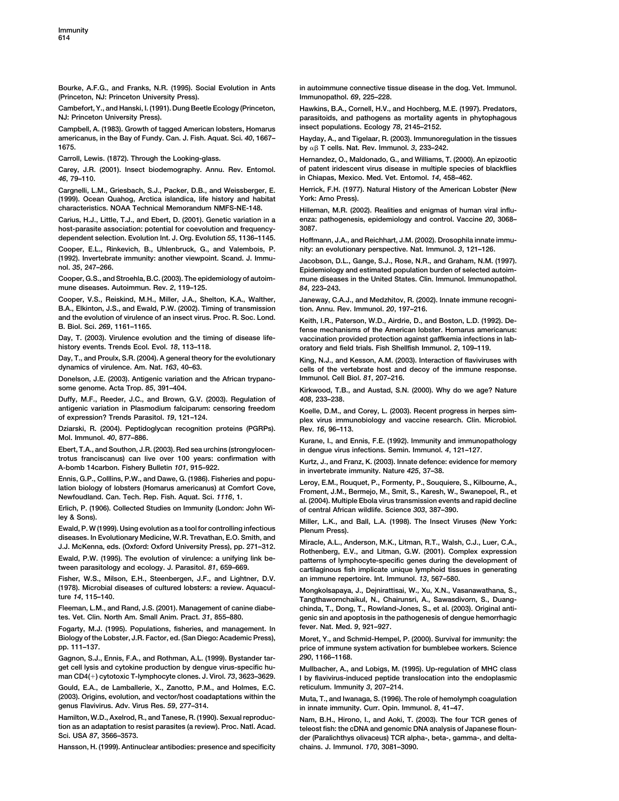**(Princeton, NJ: Princeton University Press). Immunopathol.** *69***, 225–228.**

**Cambefort, Y., and Hanski, I. (1991). Dung Beetle Ecology (Princeton, Hawkins, B.A., Cornell, H.V., and Hochberg, M.E. (1997). Predators,**

**Campbell, A. (1983). Growth of tagged American lobsters, Homarus insect populations. Ecology** *78***, 2145–2152. americanus, in the Bay of Fundy. Can. J. Fish. Aquat. Sci.** *40***, 1667– Hayday, A., and Tigelaar, R. (2003). Immunoregulation in the tissues 1675. by**  $\alpha\beta$ 

*46* **in Chiapas, Mexico. Med. Vet. Entomol.** *14***, 458–462. , 79–110.**

**Cargnelli, L.M., Griesbach, S.J., Packer, D.B., and Weissberger, E. Herrick, F.H. (1977). Natural History of the American Lobster (New (1999). Ocean Quahog, Arctica islandica, life history and habitat York: Arno Press). characteristics. NOAA Technical Memorandum NMFS-NE-148. Hilleman, M.R. (2002). Realities and enigmas of human viral influ-**

**Carius, H.J., Little, T.J., and Ebert, D. (2001). Genetic variation in a enza: pathogenesis, epidemiology and control. Vaccine** *20***, 3068– host-parasite association: potential for coevolution and frequency- 3087.**

**Cooper, E.L., Rinkevich, B., Uhlenbruck, G., and Valembois, P. nity: an evolutionary perspective. Nat. Immunol.** *3***, 121–126.**

**Cooper, G.S., and Stroehla, B.C. (2003). The epidemiology of autoim- mune diseases in the United States. Clin. Immunol. Immunopathol. mune diseases. Autoimmun. Rev.** *2***, 119–125.** *84***, 223–243.**

**Cooper, V.S., Reiskind, M.H., Miller, J.A., Shelton, K.A., Walther, Janeway, C.A.J., and Medzhitov, R. (2002). Innate immune recogni-B.A., Elkinton, J.S., and Ewald, P.W. (2002). Timing of transmission tion. Annu. Rev. Immunol.** *20***, 197–216.**

**Day, T., and Proulx, S.R. (2004). A general theory for the evolutionary King, N.J., and Kesson, A.M. (2003). Interaction of flaviviruses with**

**Donelson, J.E. (2003). Antigenic variation and the African trypano- Immunol. Cell Biol.** *81***, 207–216.**

**Duffy, M.F., Reeder, J.C., and Brown, G.V. (2003). Regulation of** *408***, 233–238.** antigenic variation in Plasmodium falciparum: censoring freedom<br>of expression? Trends Parasitol. 19, 121-124. plex virus immunobiology and vaccine research. Clin. Microbiol.

**Dziarski, R. (2004). Peptidoglycan recognition proteins (PGRPs). Rev.** *16***, 96–113. Mol. Immunol.** *40***, 877–886. Kurane, I., and Ennis, F.E. (1992). Immunity and immunopathology**

trotus franciscanus) can live over 100 years: confirmation with<br>A-bomb 14carbon. Fishery Bulletin 101, 915–922. exercit in invertebrate immunity. Nature 425, 37–38.

**Erlich, P. (1906). Collected Studies on Immunity (London: John Wi- of central African wildlife. Science** *303***, 387–390.**

**Ewald, P. W (1999). Using evolution as a tool for controlling infectious Plenum Press).**<br>
diseases. In Evolutionary Medicine. W.R. Trevathan. E.O. Smith. and

**Fisher, W.S., Milson, E.H., Steenbergen, J.F., and Lightner, D.V. an immune repertoire. Int. Immunol.** *13***, 567–580. (1978). Microbial diseases of cultured lobsters: a review. Aquacul- Mongkolsapaya, J., Dejnirattisai, W., Xu, X.N., Vasanawathana, S.,**

**Fogarty, M.J. (1995). Populations, fisheries, and management. In fever. Nat. Med.** *9***, 921–927. Biology of the Lobster, J.R. Factor, ed. (San Diego: Academic Press), Moret, Y., and Schmid-Hempel, P. (2000). Survival for immunity: the**

**Gagnon, S.J., Ennis, F.A., and Rothman, A.L. (1999). Bystander tar-** *290***, 1166–1168. get cell lysis and cytokine production by dengue virus-specific hu- Mullbacher, A., and Lobigs, M. (1995). Up-regulation of MHC class**

**Gould, E.A., de Lamballerie, X., Zanotto, P.M., and Holmes, E.C. reticulum. Immunity** *3***, 207–214. (2003). Origins, evolution, and vector/host coadaptations within the Muta, T., and Iwanaga, S. (1996). The role of hemolymph coagulation**

**Hamilton, W.D., Axelrod, R., and Tanese, R. (1990). Sexual reproduc- Nam, B.H., Hirono, I., and Aoki, T. (2003). The four TCR genes of tion as an adaptation to resist parasites (a review). Proc. Natl. Acad. teleost fish: the cDNA and genomic DNA analysis of Japanese floun-**

**Hansson, H. (1999). Antinuclear antibodies: presence and specificity chains. J. Immunol.** *170***, 3081–3090.**

**Bourke, A.F.G., and Franks, N.R. (1995). Social Evolution in Ants in autoimmune connective tissue disease in the dog. Vet. Immunol.**

**NJ: Princeton University Press). parasitoids, and pathogens as mortality agents in phytophagous**

**T cells. Nat. Rev. Immunol.** *3***, 233–242.**

**Carroll, Lewis. (1872). Through the Looking-glass. Hernandez, O., Maldonado, G., and Williams, T. (2000). An epizootic Carey, J.R. (2001). Insect biodemography. Annu. Rev. Entomol. of patent iridescent virus disease in multiple species of blackflies**

**dependent selection. Evolution Int. J. Org. Evolution** *55***, 1136–1145. Hoffmann, J.A., and Reichhart, J.M. (2002). Drosophila innate immu-**

Jacobson, D.L., Gange, S.J., Rose, N.R., and Graham, N.M. (1997).<br>- Didemiology and estimated population burden of selected autoim-

and the evolution of virtuence of an insect virus. Proc. R. Soc. Lond.<br>B. Biol. Sci. 269, 1161–1165. Compared the American lobster. Homarus americanus: Day, T. (2003). Virulence evolution and the timing of disease life-<br> **history events. Trends Ecol. Evol. 18, 113–118.** Critions or a superstory and field trials. Fish Shellfish Immunol. 2, 109–119. **history events. Trends Ecol. Evol.** *18***, 113–118. oratory and field trials. Fish Shellfish Immunol.** *2***, 109–119.**

cells of the vertebrate host and decoy of the immune response.

**some genome. Acta Trop.** *85***, 391–404. Kirkwood, T.B., and Austad, S.N. (2000). Why do we age? Nature**

**Ebert, T.A., and Southon, J.R. (2003). Red sea urchins (strongylocen- in dengue virus infections. Semin. Immunol.** *4***, 121–127.**

Ennis, G.P., Colllins, P.W., and Dawe, G. (1986). Fisheries and popu-<br>
lation biology of lobsters (Homarus americanus) at Comfort Cove,<br>
Newfoudland. Can. Tech. Rep. Fish. Aquat. Sci. 1116, 1.<br>
Friend, J.M., Bermejo, M., S

**ley & Sons). Miller, L.K., and Ball, L.A. (1998). The Insect Viruses (New York:**

diseases. In Evolutionaly wedicine, w.r.t. Tevatrial, E.O. Silliul, and<br>J.J. McKenna, eds. (Oxford: Oxford University Press), pp. 271–312.<br>Ewald, P.W. (1995). The evolution of virulence: a unifying link be-<br>patterns of lym **Ewald, P.W. (1995). The evolution of virulence: a unifying link be- patterns of lymphocyte-specific genes during the development of tween parasitology and ecology. J. Parasitol.** *81***, 659–669. cartilaginous fish implicate unique lymphoid tissues in generating**

Tangthawornchaikul, N., Chairunsri, A., Sawasdivorn, S., Duang-**Fleeman, L.M., and Rand, J.S. (2001). Management of canine diabe- chinda, T., Dong, T., Rowland-Jones, S., et al. (2003). Original antites. Vet. Clin. North Am. Small Anim. Pract.** *31***, 855–880. genic sin and apoptosis in the pathogenesis of dengue hemorrhagic**

price of immune system activation for bumblebee workers. Science

**man CD4() cytotoxic T-lymphocyte clones. J. Virol.** *73***, 3623–3629. I by flavivirus-induced peptide translocation into the endoplasmic**

**genus Flavivirus. Adv. Virus Res.** *59***, 277–314. in innate immunity. Curr. Opin. Immunol.** *8***, 41–47.**

der (Paralichthys olivaceus) TCR alpha-, beta-, gamma-, and delta-